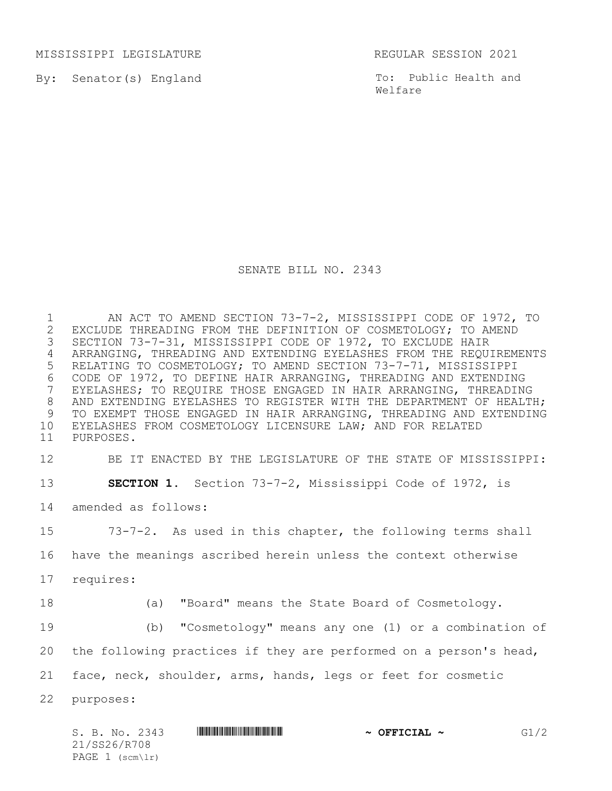MISSISSIPPI LEGISLATURE REGULAR SESSION 2021

By: Senator(s) England

To: Public Health and Welfare

## SENATE BILL NO. 2343

1 AN ACT TO AMEND SECTION 73-7-2, MISSISSIPPI CODE OF 1972, TO<br>2 EXCLUDE THREADING FROM THE DEFINITION OF COSMETOLOGY; TO AMEND 2 EXCLUDE THREADING FROM THE DEFINITION OF COSMETOLOGY; TO AMEND<br>3 SECTION 73-7-31, MISSISSIPPI CODE OF 1972, TO EXCLUDE HAIR SECTION 73-7-31, MISSISSIPPI CODE OF 1972, TO EXCLUDE HAIR ARRANGING, THREADING AND EXTENDING EYELASHES FROM THE REQUIREMENTS RELATING TO COSMETOLOGY; TO AMEND SECTION 73-7-71, MISSISSIPPI 6 CODE OF 1972, TO DEFINE HAIR ARRANGING, THREADING AND EXTENDING<br>7 EYELASHES; TO REQUIRE THOSE ENGAGED IN HAIR ARRANGING, THREADING EYELASHES; TO REQUIRE THOSE ENGAGED IN HAIR ARRANGING, THREADING 8 AND EXTENDING EYELASHES TO REGISTER WITH THE DEPARTMENT OF HEALTH; TO EXEMPT THOSE ENGAGED IN HAIR ARRANGING, THREADING AND EXTENDING EYELASHES FROM COSMETOLOGY LICENSURE LAW; AND FOR RELATED PURPOSES.

12 BE IT ENACTED BY THE LEGISLATURE OF THE STATE OF MISSISSIPPI:

13 **SECTION 1.** Section 73-7-2, Mississippi Code of 1972, is

14 amended as follows:

15 73-7-2. As used in this chapter, the following terms shall

16 have the meanings ascribed herein unless the context otherwise

- 17 requires:
- 

18 (a) "Board" means the State Board of Cosmetology.

19 (b) "Cosmetology" means any one (1) or a combination of

20 the following practices if they are performed on a person's head,

21 face, neck, shoulder, arms, hands, legs or feet for cosmetic

22 purposes:

| S. B. No. 2343    |  |  | $\sim$ OFFICIAL $\sim$ | G1/2 |
|-------------------|--|--|------------------------|------|
| 21/SS26/R708      |  |  |                        |      |
| PAGE $1$ (scm\lr) |  |  |                        |      |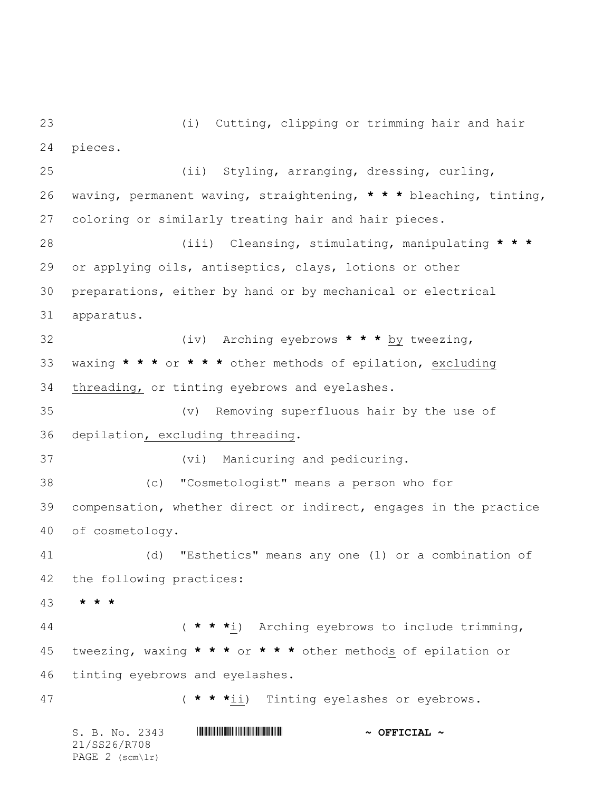(i) Cutting, clipping or trimming hair and hair pieces.

S. B. No. 2343 \*SS26/R708\* **~ OFFICIAL ~** 21/SS26/R708 (ii) Styling, arranging, dressing, curling, waving, permanent waving, straightening, **\* \* \*** bleaching, tinting, coloring or similarly treating hair and hair pieces. (iii) Cleansing, stimulating, manipulating **\* \* \*** or applying oils, antiseptics, clays, lotions or other preparations, either by hand or by mechanical or electrical apparatus. (iv) Arching eyebrows **\* \* \*** by tweezing, waxing **\* \* \*** or **\* \* \*** other methods of epilation, excluding threading, or tinting eyebrows and eyelashes. (v) Removing superfluous hair by the use of depilation, excluding threading. (vi) Manicuring and pedicuring. (c) "Cosmetologist" means a person who for compensation, whether direct or indirect, engages in the practice of cosmetology. (d) "Esthetics" means any one (1) or a combination of the following practices: **\* \* \*** ( **\* \* \***i) Arching eyebrows to include trimming, tweezing, waxing **\* \* \*** or **\* \* \*** other methods of epilation or tinting eyebrows and eyelashes. ( **\* \* \***ii) Tinting eyelashes or eyebrows.

PAGE (scm\lr)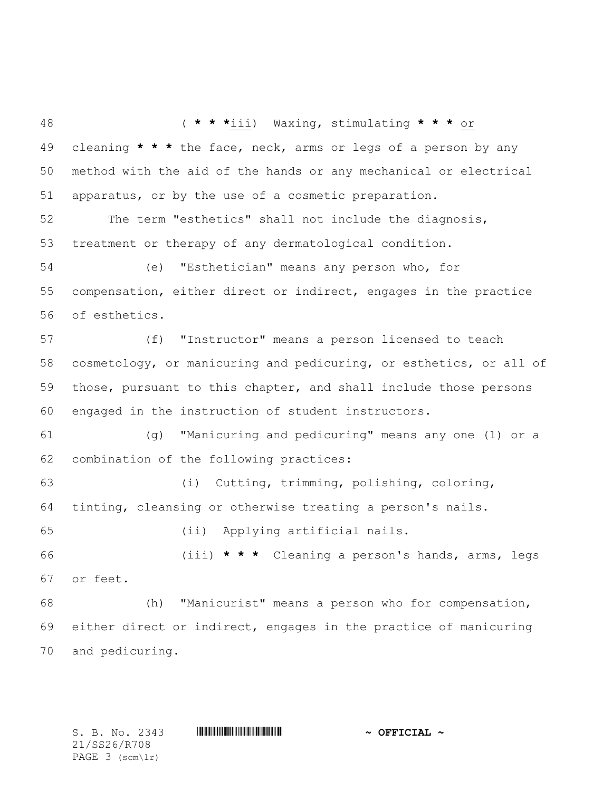( **\* \* \***iii) Waxing, stimulating **\* \* \*** or cleaning **\* \* \*** the face, neck, arms or legs of a person by any method with the aid of the hands or any mechanical or electrical apparatus, or by the use of a cosmetic preparation. The term "esthetics" shall not include the diagnosis, treatment or therapy of any dermatological condition. (e) "Esthetician" means any person who, for compensation, either direct or indirect, engages in the practice of esthetics. (f) "Instructor" means a person licensed to teach cosmetology, or manicuring and pedicuring, or esthetics, or all of those, pursuant to this chapter, and shall include those persons engaged in the instruction of student instructors. (g) "Manicuring and pedicuring" means any one (1) or a combination of the following practices: (i) Cutting, trimming, polishing, coloring, tinting, cleansing or otherwise treating a person's nails. (ii) Applying artificial nails. (iii) **\* \* \*** Cleaning a person's hands, arms, legs or feet. (h) "Manicurist" means a person who for compensation, either direct or indirect, engages in the practice of manicuring and pedicuring.

21/SS26/R708 PAGE 3 (scm\lr)

S. B. No. 2343 \*SS26/R708\* **~ OFFICIAL ~**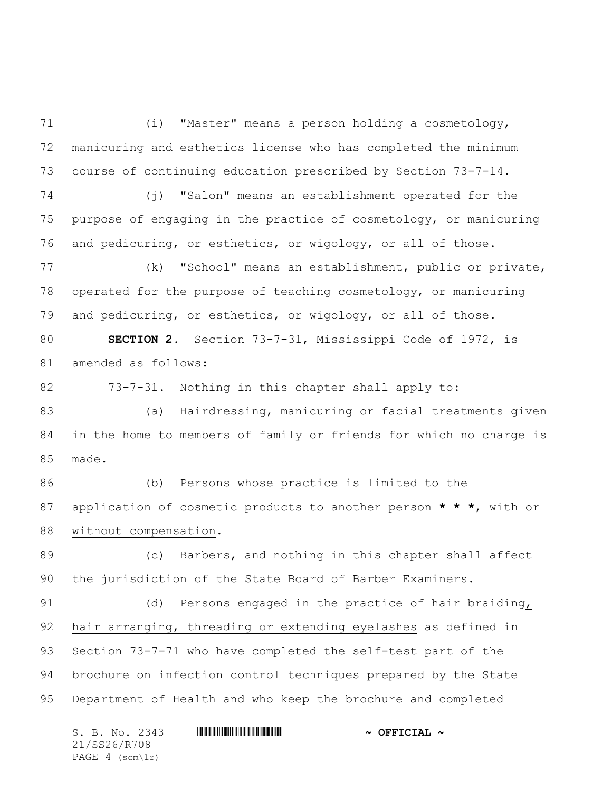(i) "Master" means a person holding a cosmetology, manicuring and esthetics license who has completed the minimum course of continuing education prescribed by Section 73-7-14.

 (j) "Salon" means an establishment operated for the purpose of engaging in the practice of cosmetology, or manicuring and pedicuring, or esthetics, or wigology, or all of those.

 (k) "School" means an establishment, public or private, operated for the purpose of teaching cosmetology, or manicuring and pedicuring, or esthetics, or wigology, or all of those.

 **SECTION 2.** Section 73-7-31, Mississippi Code of 1972, is amended as follows:

73-7-31. Nothing in this chapter shall apply to:

 (a) Hairdressing, manicuring or facial treatments given in the home to members of family or friends for which no charge is made.

 (b) Persons whose practice is limited to the application of cosmetic products to another person **\* \* \***, with or without compensation.

 (c) Barbers, and nothing in this chapter shall affect the jurisdiction of the State Board of Barber Examiners.

91 (d) Persons engaged in the practice of hair braiding, hair arranging, threading or extending eyelashes as defined in Section 73-7-71 who have completed the self-test part of the brochure on infection control techniques prepared by the State Department of Health and who keep the brochure and completed

S. B. No. 2343 \*SS26/R708\* **~ OFFICIAL ~** 21/SS26/R708 PAGE 4 (scm\lr)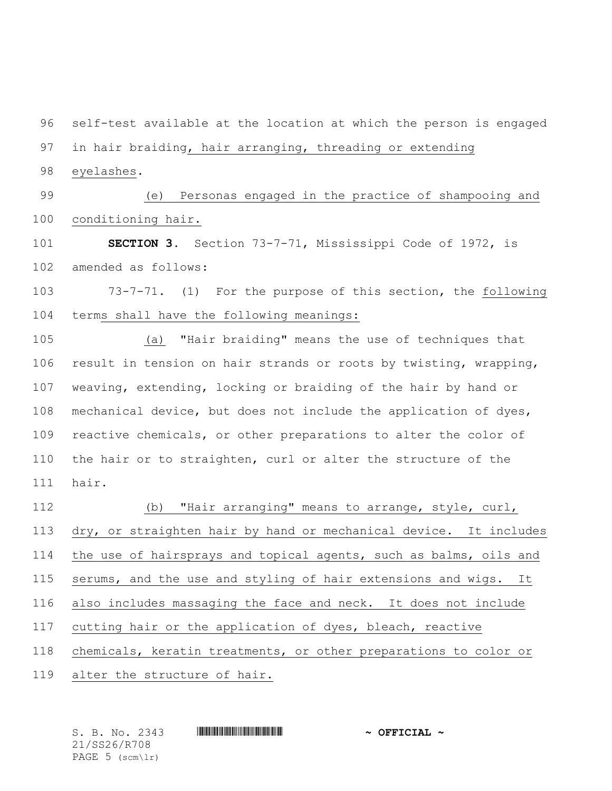self-test available at the location at which the person is engaged in hair braiding, hair arranging, threading or extending eyelashes. (e) Personas engaged in the practice of shampooing and conditioning hair. **SECTION 3.** Section 73-7-71, Mississippi Code of 1972, is amended as follows: 73-7-71. (1) For the purpose of this section, the following terms shall have the following meanings: (a) "Hair braiding" means the use of techniques that result in tension on hair strands or roots by twisting, wrapping, weaving, extending, locking or braiding of the hair by hand or mechanical device, but does not include the application of dyes, reactive chemicals, or other preparations to alter the color of the hair or to straighten, curl or alter the structure of the hair. (b) "Hair arranging" means to arrange, style, curl, dry, or straighten hair by hand or mechanical device. It includes the use of hairsprays and topical agents, such as balms, oils and serums, and the use and styling of hair extensions and wigs. It also includes massaging the face and neck. It does not include cutting hair or the application of dyes, bleach, reactive chemicals, keratin treatments, or other preparations to color or alter the structure of hair.

S. B. No. 2343 \*SS26/R708\* **~ OFFICIAL ~** 21/SS26/R708 PAGE 5 (scm\lr)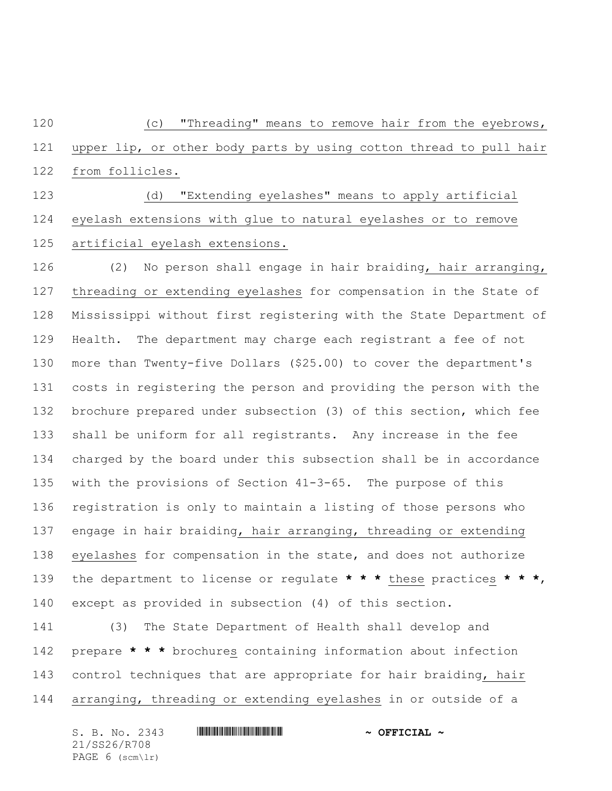(c) "Threading" means to remove hair from the eyebrows, upper lip, or other body parts by using cotton thread to pull hair from follicles.

 (d) "Extending eyelashes" means to apply artificial eyelash extensions with glue to natural eyelashes or to remove artificial eyelash extensions.

 (2) No person shall engage in hair braiding, hair arranging, threading or extending eyelashes for compensation in the State of Mississippi without first registering with the State Department of Health. The department may charge each registrant a fee of not more than Twenty-five Dollars (\$25.00) to cover the department's costs in registering the person and providing the person with the brochure prepared under subsection (3) of this section, which fee shall be uniform for all registrants. Any increase in the fee charged by the board under this subsection shall be in accordance with the provisions of Section 41-3-65. The purpose of this registration is only to maintain a listing of those persons who engage in hair braiding, hair arranging, threading or extending eyelashes for compensation in the state, and does not authorize the department to license or regulate **\* \* \*** these practices **\* \* \***, except as provided in subsection (4) of this section.

 (3) The State Department of Health shall develop and prepare **\* \* \*** brochures containing information about infection control techniques that are appropriate for hair braiding, hair arranging, threading or extending eyelashes in or outside of a

S. B. No. 2343 \*SS26/R708\* **~ OFFICIAL ~** 21/SS26/R708 PAGE 6 (scm\lr)